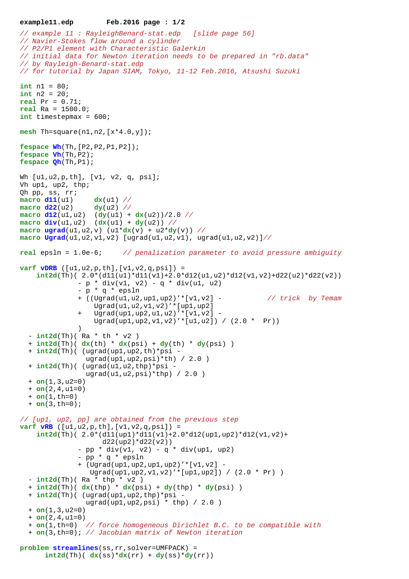## **example11.edp Feb.2016 page : 1/2**

```
// example 11 : RayleighBenard-stat.edp [slide page 56]
// Navier-Stokes flow around a cylinder
// P2/P1 element with Characteristic Galerkin
// initial data for Newton iteration needs to be prepared in "rb.data"
// by Rayleigh-Benard-stat.edp
// for tutorial by Japan SIAM, Tokyo, 11-12 Feb.2016, Atsushi Suzuki
int n1 = 80;
int n2 = 20;
real Pr = 0.71;
real Ra = 1500.0;
int timestepmax = 600;
mesh Th=square(n1,n2,[x*4.0,y]);
fespace Wh(Th,[P2,P2,P1,P2]);
fespace Vh(Th,P2);
fespace Qh(Th,P1);
Wh [u1,u2,p,th], [v1, v2, q, psi];
Vh up1, up2, thp;
Qh pp, ss, rr;
macro d11(u1) dx(u1) //
macro d22(u2) dy(u2) //
macro d12(ul,ul) (dy(ul) + dx(ul))/2.0 //
macro div(ul, ul, ul) (dx(ul) + dy(ul)) //
\text{macro } \text{ugrad}(u1, u2, v) (u1 * dx(v) + u2 * dy(v)) //
macro Ugrad(u1,u2,v1,v2) [ugrad(u1,u2,v1), ugrad(u1,u2,v2)]//
real epsln = 1.0e-6; // penalization parameter to avoid pressure ambiguity
varf vDRB ([u1,u2,p,th],[v1,v2,q,psi]) =
    int2d(Th)(2.0*(d11(ul)*d11(v1)+2.0*(d12(ul,u2)*d12(v1,v2)+d22(ul)*d22(v2))- p * div(v1, v2) - q * div(u1, u2) - p * q * epsln
               + ((Ugrad(u1,u2,up1,up2)'*[v1,v2] - // trick by Temam 
                   Ugrad(u1,u2,v1,v2)'*[up1,up2] 
               + Ugrad(up1,up2,u1,u2)'*[v1,v2] -
                   Ugrad(up1,up2,v1,v2)'*[u1,u2]) / (2.0 * Pr))
 )
  - int2d(Th)( Ra * th * v2)
   + int2d(Th)( dx(th) * dx(psi) + dy(th) * dy(psi) )
   + int2d(Th)( (ugrad(up1,up2,th)*psi -
                ugrad(up1,up2,psi)*th) / 2.0)+ int2d(Th) ( (ugrad(ul, u2, thp) *psi)uqrad(u1, u2, psi)*thp / 2.0 )
  + on(1,3, u2=0) + on(2,4,u1=0)
   + on(1,th=0)
   + on(3,th=0);
// [up1, up2, pp] are obtained from the previous step
varf vRB ([u1,u2,p,th],[v1,v2,q,psi]) =
     int2d(Th)( 2.0*(d11(up1)*d11(v1)+2.0*d12(up1,up2)*d12(v1,v2)+
                     d22(up2)*d22(v2))
              - pp * div(v1, v2) - q * div(up1, up2)
               - pp * q * epsln
               + (Ugrad(up1,up2,up1,up2)'*[v1,v2] -
                 Ugrad(up1,up2,v1,v2)'*[up1,up2]) / (2.0 * Pr) )
  - int2d(Th)( Ra * thp * v2)
   + int2d(Th)( dx(thp) * dx(psi) + dy(thp) * dy(psi) )
   + int2d(Th)( (ugrad(up1,up2,thp)*psi -
                ugrad(up1, up2, psi) * thp) / 2.0 ) + on(1,3,u2=0) 
   + on(2,4,u1=0)
   + on(1,th=0) // force homogeneous Dirichlet B.C. to be compatible with 
   + on(3,th=0); // Jacobian matrix of Newton iteration
problem streamlines(ss,rr,solver=UMFPACK) =
```

```
int2d(Th) ( dx(ss)*dx(rr) + dy(ss)*dy(rr))
```